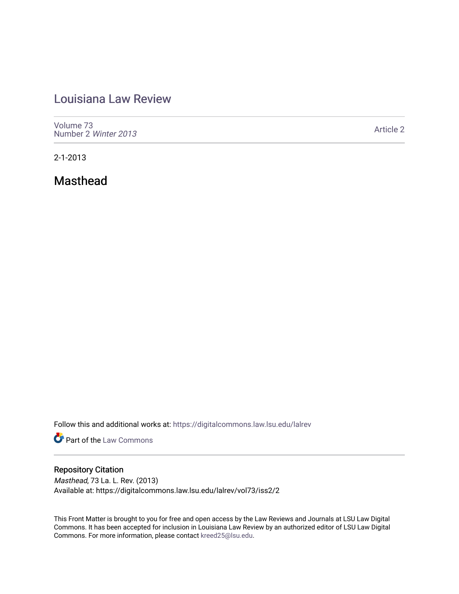## [Louisiana Law Review](https://digitalcommons.law.lsu.edu/lalrev)

[Volume 73](https://digitalcommons.law.lsu.edu/lalrev/vol73) [Number 2](https://digitalcommons.law.lsu.edu/lalrev/vol73/iss2) Winter 2013

[Article 2](https://digitalcommons.law.lsu.edu/lalrev/vol73/iss2/2) 

2-1-2013

Masthead

Follow this and additional works at: [https://digitalcommons.law.lsu.edu/lalrev](https://digitalcommons.law.lsu.edu/lalrev?utm_source=digitalcommons.law.lsu.edu%2Flalrev%2Fvol73%2Fiss2%2F2&utm_medium=PDF&utm_campaign=PDFCoverPages)

**Part of the [Law Commons](http://network.bepress.com/hgg/discipline/578?utm_source=digitalcommons.law.lsu.edu%2Flalrev%2Fvol73%2Fiss2%2F2&utm_medium=PDF&utm_campaign=PDFCoverPages)** 

## Repository Citation

Masthead, 73 La. L. Rev. (2013) Available at: https://digitalcommons.law.lsu.edu/lalrev/vol73/iss2/2

This Front Matter is brought to you for free and open access by the Law Reviews and Journals at LSU Law Digital Commons. It has been accepted for inclusion in Louisiana Law Review by an authorized editor of LSU Law Digital Commons. For more information, please contact [kreed25@lsu.edu](mailto:kreed25@lsu.edu).